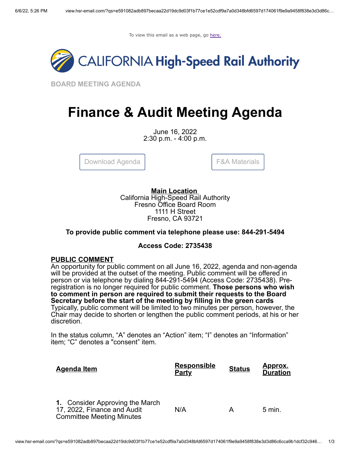To view this email as a web page, go [here.](http://view.hsr-email.com/?qs=e591082adb897becaa22d19dc9d03f1b77ce1e52cdf9a7a0d348bfd6597d174061f9e9a9458f838e3d3d86c6cca9b1dcf32c94647e6aebf107ef37d92a7fe8bccb746e8ecc9f4dd62cebeb951e41da01)



**BOARD MEETING AGENDA**

# **Finance & Audit Meeting Agenda**

June 16, 2022 2:30 p.m. - 4:00 p.m.

[Download Agenda](http://click.hsr-email.com/?qs=72069b34493e60400d5927aca5f6f9c8efa9437a65c76a6722ad0a122f229605424d833c6f6402e3a0d2985d99c5d2d4ca23ceccb323c4eb) | Table Table | [F&A Materials](http://click.hsr-email.com/?qs=72069b34493e60404a137f6fe126e48ac9510fbc2a61f8dc5765ae012d41d8c7bef4b802c601e349f4c77ba34d2df35e92687a5b7a1f4c6b)



**Main Location** California High-Speed Rail Authority Fresno Office Board Room 1111 H Street Fresno, CA 93721

# **To provide public comment via telephone please use: 844-291-5494**

# **Access Code: 2735438**

# **PUBLIC COMMENT**

An opportunity for public comment on all June 16, 2022, agenda and non-agenda will be provided at the outset of the meeting. Public comment will be offered in person or via telephone by dialing 844-291-5494 (Access Code: 2735438). Preregistration is no longer required for public comment. **Those persons who wish to comment in person are required to submit their requests to the Board Secretary before the start of the meeting by filling in the green cards** Typically, public comment will be limited to two minutes per person, however, the Chair may decide to shorten or lengthen the public comment periods, at his or her discretion.

In the status column, "A" denotes an "Action" item; "I" denotes an "Information" item; "C" denotes a "consent" item.

| <b>Agenda Item</b>                                                                                 | <b>Responsible</b><br><b>Party</b> | <b>Status</b> | <u>Approx.</u><br><b>Duration</b> |
|----------------------------------------------------------------------------------------------------|------------------------------------|---------------|-----------------------------------|
| 1. Consider Approving the March<br>17, 2022, Finance and Audit<br><b>Committee Meeting Minutes</b> | N/A                                |               | $5 \text{ min}$ .                 |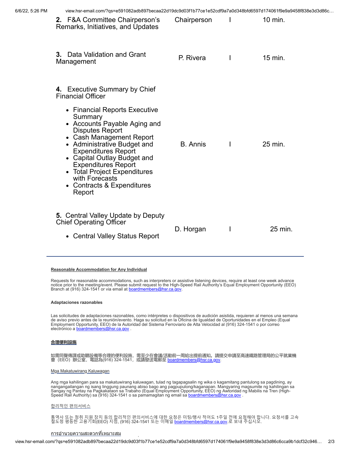| 6/6/22, 5:26 PM | view.hsr-email.com/?qs=e591082adb897becaa22d19dc9d03f1b77ce1e52cdf9a7a0d348bfd6597d174061f9e9a9458f838e3d3d86c                                                                                                                                                                                                                                                                                                  |                 |              |         |
|-----------------|-----------------------------------------------------------------------------------------------------------------------------------------------------------------------------------------------------------------------------------------------------------------------------------------------------------------------------------------------------------------------------------------------------------------|-----------------|--------------|---------|
|                 | 2. F&A Committee Chairperson's<br>Remarks, Initiatives, and Updates                                                                                                                                                                                                                                                                                                                                             | Chairperson     | $\mathbf{I}$ | 10 min. |
|                 | <b>3.</b> Data Validation and Grant<br>Management                                                                                                                                                                                                                                                                                                                                                               | P. Rivera       | L            | 15 min. |
|                 | 4. Executive Summary by Chief<br><b>Financial Officer</b><br>• Financial Reports Executive<br>Summary<br>• Accounts Payable Aging and<br><b>Disputes Report</b><br>• Cash Management Report<br>• Administrative Budget and<br><b>Expenditures Report</b><br>• Capital Outlay Budget and<br><b>Expenditures Report</b><br>• Total Project Expenditures<br>with Forecasts<br>• Contracts & Expenditures<br>Report | <b>B.</b> Annis | $\mathbf{I}$ | 25 min. |
|                 | <b>5.</b> Central Valley Update by Deputy<br><b>Chief Operating Officer</b><br>• Central Valley Status Report                                                                                                                                                                                                                                                                                                   | D. Horgan       | I            | 25 min. |

### **Reasonable Accommodation for Any Individual**

Requests for reasonable accommodations, such as interpreters or assistive listening devices, require at least one week advance notice prior to the meeting/event. Please submit request to the High-Speed Rail Authority's Equal Employment Opportunity (EEO) Branch at (916) 324-1541 or via email at **boardmembers@hsr.ca.gov.** 

#### **Adaptaciones razonables**

Las solicitudes de adaptaciones razonables, como intérpretes o dispositivos de audición asistida, requieren al menos una semana<br>de aviso previo antes de la reunión/evento. Haga su solicitud en la Oficina de Igualdad de Opo

#### **合理便利設施**

如需同聲傳譯或助聽設備等合理的便利設施,需至少在會議/活動前一周給出提前通知。請提交申請至高速鐵路管理局的公平就業機<br>會 (EEO) 辦公室, 電話為(916) 324-1541, 或請發送電郵至 <u>[boardmembers@hsr.ca.gov](mailto:boardmembers@hsr.ca.gov?subject=)</u>.

## Mga Makatuwirang Kaluwagan

Ang mga kahilingan para sa makatuwirang kaluwagan, tulad ng tagapagsalin ng wika o kagamitang pantulong sa pagdining, ay<br>nangangailangan ng isang linggung paunang abiso bago ang pagpupulong/kaganapan. Mangyaring magsumite

## 합리적인 편의서비스

통역사 또는 청취 지원 장치 등의 합리적인 편의서비스에 대한 요청은 미팅/행사 적어도 1주일 전에 요청해야 합니다. 요청서를 고속<br>철도청 평등한 고용기회(EEO) 지점, (916) 324-1541 또는 이메일 <u>[boardmembers@hsr.ca.gov](mailto:boardmembers@hsr.ca.gov?subject=)</u>.로 보내 주십시오.

## <u>การอำนวยความสะดวกที่เหมาะสม</u>